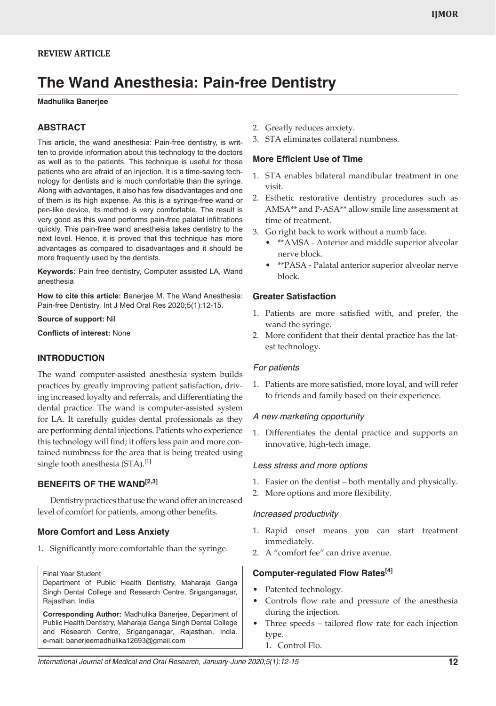# **The Wand Anesthesia: Pain-free Dentistry**

#### **Madhulika Banerjee**

### **ABSTRACT**

This article, the wand anesthesia: Pain-free dentistry, is written to provide information about this technology to the doctors as well as to the patients. This technique is useful for those patients who are afraid of an injection. It is a time-saving technology for dentists and is much comfortable than the syringe. Along with advantages, it also has few disadvantages and one of them is its high expense. As this is a syringe-free wand or pen-like device, its method is very comfortable. The result is very good as this wand performs pain-free palatal infiltrations quickly. This pain-free wand anesthesia takes dentistry to the next level. Hence, it is proved that this technique has more advantages as compared to disadvantages and it should be more frequently used by the dentists.

**Keywords:** Pain free dentistry, Computer assisted LA, Wand anesthesia

**How to cite this article:** Banerjee M. The Wand Anesthesia: Pain-free Dentistry. Int J Med Oral Res 2020;5(1):12-15.

#### **Source of support:** Nil

**Conflicts of interest:** None

### **INTRODUCTION**

The wand computer-assisted anesthesia system builds practices by greatly improving patient satisfaction, driving increased loyalty and referrals, and differentiating the dental practice. The wand is computer-assisted system for LA. It carefully guides dental professionals as they are performing dental injections. Patients who experience this technology will find; it offers less pain and more contained numbness for the area that is being treated using single tooth anesthesia  $(STA).$ <sup>[1]</sup>

### **BENEFITS OF THE WAND[2,3]**

Dentistry practices that use the wand offer an increased level of comfort for patients, among other benefits.

### **More Comfort and Less Anxiety**

1. Significantly more comfortable than the syringe.

Final Year Student

Department of Public Health Dentistry, Maharaja Ganga Singh Dental College and Research Centre, Sriganganagar, Rajasthan, India

**Corresponding Author:** Madhulika Banerjee, Department of Public Health Dentistry, Maharaja Ganga Singh Dental College and Research Centre, Sriganganagar, Rajasthan, India. e-mail: banerjeemadhulika12693@gmail.com

- 2. Greatly reduces anxiety.
- 3. STA eliminates collateral numbness.

### **More Efficient Use of Time**

- 1. STA enables bilateral mandibular treatment in one visit.
- 2. Esthetic restorative dentistry procedures such as AMSA\*\* and P-ASA\*\* allow smile line assessment at time of treatment.
- 3. Go right back to work without a numb face.
	- \*\* AMSA Anterior and middle superior alveolar nerve block.
	- • \*\*PASA Palatal anterior superior alveolar nerve block.

#### **Greater Satisfaction**

- 1. Patients are more satisfied with, and prefer, the wand the syringe.
- 2. More confident that their dental practice has the latest technology.

#### *For patients*

1. Patients are more satisfied, more loyal, and will refer to friends and family based on their experience.

#### *A new marketing opportunity*

1. Differentiates the dental practice and supports an innovative, high-tech image.

#### *Less stress and more options*

- 1. Easier on the dentist both mentally and physically.
- 2. More options and more flexibility.

#### *Increased productivity*

- 1. Rapid onset means you can start treatment immediately.
- 2. A "comfort fee" can drive avenue.

#### **Computer-regulated Flow Rates[4]**

- Patented technology.
- Controls flow rate and pressure of the anesthesia during the injection.
- Three speeds tailored flow rate for each injection type.
	- 1. Control Flo.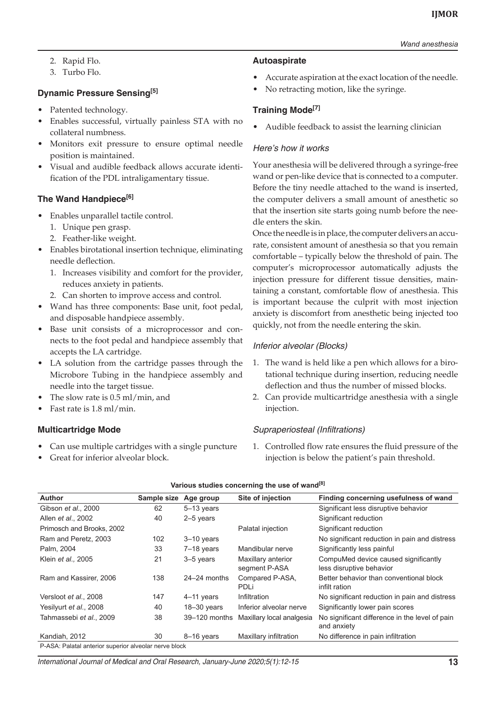- 2. Rapid Flo.
- 3. Turbo Flo.

# **Dynamic Pressure Sensing[5]**

- Patented technology.
- Enables successful, virtually painless STA with no collateral numbness.
- Monitors exit pressure to ensure optimal needle position is maintained.
- Visual and audible feedback allows accurate identification of the PDL intraligamentary tissue.

# **The Wand Handpiece[6]**

- Enables unparallel tactile control.
	- 1. Unique pen grasp.
	- 2. Feather-like weight.
- • Enables birotational insertion technique, eliminating needle deflection.
	- 1. Increases visibility and comfort for the provider, reduces anxiety in patients.
	- 2. Can shorten to improve access and control.
- • Wand has three components: Base unit, foot pedal, and disposable handpiece assembly.
- Base unit consists of a microprocessor and connects to the foot pedal and handpiece assembly that accepts the LA cartridge.
- LA solution from the cartridge passes through the Microbore Tubing in the handpiece assembly and needle into the target tissue.
- The slow rate is  $0.5$  ml/min, and
- Fast rate is 1.8 ml/min.

# **Multicartridge Mode**

- Can use multiple cartridges with a single puncture
- Great for inferior alveolar block.

# **Autoaspirate**

- Accurate aspiration at the exact location of the needle.
- No retracting motion, like the syringe.

# **Training Mode[7]**

• Audible feedback to assist the learning clinician

# *Here's how it works*

Your anesthesia will be delivered through a syringe-free wand or pen-like device that is connected to a computer. Before the tiny needle attached to the wand is inserted, the computer delivers a small amount of anesthetic so that the insertion site starts going numb before the needle enters the skin.

Once the needle is in place, the computer delivers an accurate, consistent amount of anesthesia so that you remain comfortable – typically below the threshold of pain. The computer's microprocessor automatically adjusts the injection pressure for different tissue densities, maintaining a constant, comfortable flow of anesthesia. This is important because the culprit with most injection anxiety is discomfort from anesthetic being injected too quickly, not from the needle entering the skin.

# *Inferior alveolar (Blocks)*

- 1. The wand is held like a pen which allows for a birotational technique during insertion, reducing needle deflection and thus the number of missed blocks.
- 2. Can provide multicartridge anesthesia with a single injection.

# *Supraperiosteal (Infiltrations)*

1. Controlled flow rate ensures the fluid pressure of the injection is below the patient's pain threshold.

| <b>Author</b>                                         | Sample size | Age group        | Site of injection                   | Finding concerning usefulness of wand                            |
|-------------------------------------------------------|-------------|------------------|-------------------------------------|------------------------------------------------------------------|
| Gibson et al., 2000                                   | 62          | $5-13$ years     |                                     | Significant less disruptive behavior                             |
| Allen <i>et al.</i> , 2002                            | 40          | 2-5 years        |                                     | Significant reduction                                            |
| Primosch and Brooks, 2002                             |             |                  | Palatal injection                   | Significant reduction                                            |
| Ram and Peretz, 2003                                  | 102         | 3-10 years       |                                     | No significant reduction in pain and distress                    |
| Palm. 2004                                            | 33          | $7-18$ years     | Mandibular nerve                    | Significantly less painful                                       |
| Klein <i>et al.</i> , 2005                            | 21          | $3-5$ years      | Maxillary anterior<br>segment P-ASA | CompuMed device caused significantly<br>less disruptive behavior |
| Ram and Kassirer, 2006                                | 138         | $24 - 24$ months | Compared P-ASA,<br>PDLi             | Better behavior than conventional block<br>infilt ration         |
| Versloot et al., 2008                                 | 147         | $4-11$ years     | Infiltration                        | No significant reduction in pain and distress                    |
| Yesilyurt et al., 2008                                | 40          | $18 - 30$ years  | Inferior alveolar nerve             | Significantly lower pain scores                                  |
| Tahmassebi et al., 2009                               | 38          | 39-120 months    | Maxillary local analgesia           | No significant difference in the level of pain<br>and anxiety    |
| Kandiah, 2012                                         | 30          | 8-16 years       | Maxillary infiltration              | No difference in pain infiltration                               |
| P-ASA: Palatal anterior superior alveolar nerve block |             |                  |                                     |                                                                  |

#### **Various studies concerning the use of wand[8]**

*International Journal of Medical and Oral Research, January-June 2020;5(1):12-15* **13**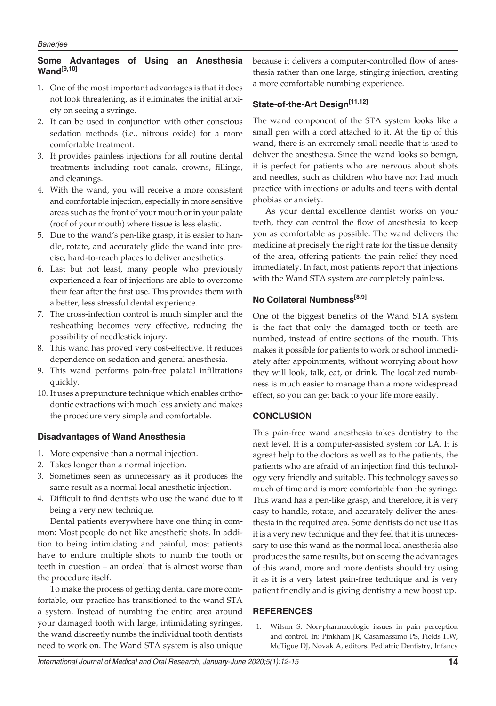### **Some Advantages of Using an Anesthesia Wand[9,10]**

- 1. One of the most important advantages is that it does not look threatening, as it eliminates the initial anxiety on seeing a syringe.
- 2. It can be used in conjunction with other conscious sedation methods (i.e., nitrous oxide) for a more comfortable treatment.
- 3. It provides painless injections for all routine dental treatments including root canals, crowns, fillings, and cleanings.
- 4. With the wand, you will receive a more consistent and comfortable injection, especially in more sensitive areas such as the front of your mouth or in your palate (roof of your mouth) where tissue is less elastic.
- 5. Due to the wand's pen-like grasp, it is easier to handle, rotate, and accurately glide the wand into precise, hard-to-reach places to deliver anesthetics.
- 6. Last but not least, many people who previously experienced a fear of injections are able to overcome their fear after the first use. This provides them with a better, less stressful dental experience.
- 7. The cross-infection control is much simpler and the resheathing becomes very effective, reducing the possibility of needlestick injury.
- 8. This wand has proved very cost-effective. It reduces dependence on sedation and general anesthesia.
- 9. This wand performs pain-free palatal infiltrations quickly.
- 10. It uses a prepuncture technique which enables orthodontic extractions with much less anxiety and makes the procedure very simple and comfortable.

### **Disadvantages of Wand Anesthesia**

- 1. More expensive than a normal injection.
- 2. Takes longer than a normal injection.
- 3. Sometimes seen as unnecessary as it produces the same result as a normal local anesthetic injection.
- 4. Difficult to find dentists who use the wand due to it being a very new technique.

Dental patients everywhere have one thing in common: Most people do not like anesthetic shots. In addition to being intimidating and painful, most patients have to endure multiple shots to numb the tooth or teeth in question – an ordeal that is almost worse than the procedure itself.

To make the process of getting dental care more comfortable, our practice has transitioned to the wand STA a system. Instead of numbing the entire area around your damaged tooth with large, intimidating syringes, the wand discreetly numbs the individual tooth dentists need to work on. The Wand STA system is also unique

because it delivers a computer-controlled flow of anesthesia rather than one large, stinging injection, creating a more comfortable numbing experience.

### **State-of-the-Art Design[11,12]**

The wand component of the STA system looks like a small pen with a cord attached to it. At the tip of this wand, there is an extremely small needle that is used to deliver the anesthesia. Since the wand looks so benign, it is perfect for patients who are nervous about shots and needles, such as children who have not had much practice with injections or adults and teens with dental phobias or anxiety.

As your dental excellence dentist works on your teeth, they can control the flow of anesthesia to keep you as comfortable as possible. The wand delivers the medicine at precisely the right rate for the tissue density of the area, offering patients the pain relief they need immediately. In fact, most patients report that injections with the Wand STA system are completely painless.

# **No Collateral Numbness[8,9]**

One of the biggest benefits of the Wand STA system is the fact that only the damaged tooth or teeth are numbed, instead of entire sections of the mouth. This makes it possible for patients to work or school immediately after appointments, without worrying about how they will look, talk, eat, or drink. The localized numbness is much easier to manage than a more widespread effect, so you can get back to your life more easily.

### **CONCLUSION**

This pain-free wand anesthesia takes dentistry to the next level. It is a computer-assisted system for LA. It is agreat help to the doctors as well as to the patients, the patients who are afraid of an injection find this technology very friendly and suitable. This technology saves so much of time and is more comfortable than the syringe. This wand has a pen-like grasp, and therefore, it is very easy to handle, rotate, and accurately deliver the anesthesia in the required area. Some dentists do not use it as it is a very new technique and they feel that it is unnecessary to use this wand as the normal local anesthesia also produces the same results, but on seeing the advantages of this wand, more and more dentists should try using it as it is a very latest pain-free technique and is very patient friendly and is giving dentistry a new boost up.

### **REFERENCES**

1. Wilson S. Non-pharmacologic issues in pain perception and control. In: Pinkham JR, Casamassimo PS, Fields HW, McTigue DJ, Novak A, editors. Pediatric Dentistry, Infancy

*International Journal of Medical and Oral Research, January-June 2020;5(1):12-15* **14**